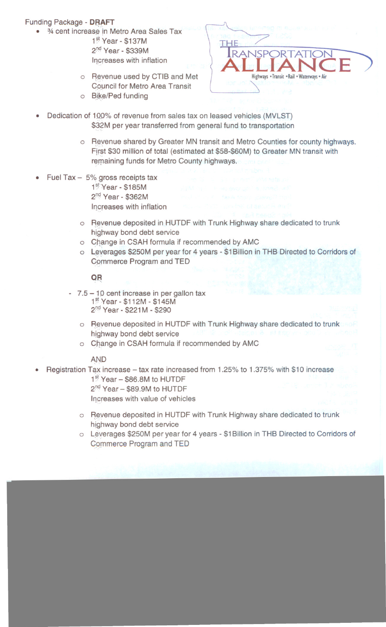## Funding Package - DRAFT

- <sup>3/4</sup> cent increase in Metro Area Sales Tax 1<sup>st</sup> Year - \$137M 2<sup>nd</sup> Year - \$339M
	- Increases with inflation
	- o Revenue used by CTIB and Met **Council for Metro Area Transit**
	- o Bike/Ped funding



- Dedication of 100% of revenue from sales tax on leased vehicles (MVLST) \$32M per year transferred from general fund to transportation
	- o Revenue shared by Greater MN transit and Metro Counties for county highways. First \$30 million of total (estimated at \$58-\$60M) to Greater MN transit with remaining funds for Metro County highways.
- Fuel Tax  $-5\%$  gross receipts tax  $1<sup>st</sup>$  Year - \$185M  $2<sup>nd</sup>$  Year - \$362M Increases with inflation
	- o Revenue deposited in HUTDF with Trunk Highway share dedicated to trunk highway bond debt service
	- o Change in CSAH formula if recommended by AMC
	- o Leverages \$250M per year for 4 years \$1Billion in THB Directed to Corridors of Commerce Program and TED

## $QR$

- $7.5 10$  cent increase in per gallon tax 1<sup>st</sup> Year - \$112M - \$145M  $2^{nd}$  Year - \$221M - \$290
	- o Revenue deposited in HUTDF with Trunk Highway share dedicated to trunk highway bond debt service
	- o Change in CSAH formula if recommended by AMC

## AN<sub>D</sub>

- Registration Tax increase tax rate increased from 1.25% to 1.375% with \$10 increase 1<sup>st</sup> Year - \$86.8M to HUTDF
	- 2<sup>nd</sup> Year \$89.9M to HUTDF Increases with value of vehicles
	- o Revenue deposited in HUTDF with Trunk Highway share dedicated to trunk highway bond debt service
	- o Leverages \$250M per year for 4 years \$1 Billion in THB Directed to Corridors of Commerce Program and TED